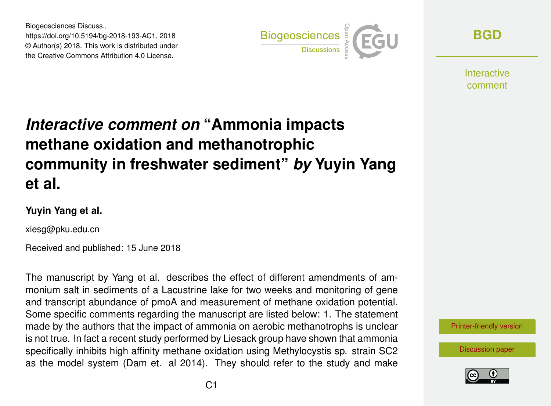Biogeosciences Discuss., https://doi.org/10.5194/bg-2018-193-AC1, 2018 © Author(s) 2018. This work is distributed under the Creative Commons Attribution 4.0 License.



**[BGD](https://www.biogeosciences-discuss.net/)**

**Interactive** comment

## *Interactive comment on* **"Ammonia impacts methane oxidation and methanotrophic community in freshwater sediment"** *by* **Yuyin Yang et al.**

## **Yuyin Yang et al.**

xiesg@pku.edu.cn

Received and published: 15 June 2018

The manuscript by Yang et al. describes the effect of different amendments of ammonium salt in sediments of a Lacustrine lake for two weeks and monitoring of gene and transcript abundance of pmoA and measurement of methane oxidation potential. Some specific comments regarding the manuscript are listed below: 1. The statement made by the authors that the impact of ammonia on aerobic methanotrophs is unclear is not true. In fact a recent study performed by Liesack group have shown that ammonia specifically inhibits high affinity methane oxidation using Methylocystis sp. strain SC2 as the model system (Dam et. al 2014). They should refer to the study and make



[Discussion paper](https://www.biogeosciences-discuss.net/bg-2018-193)

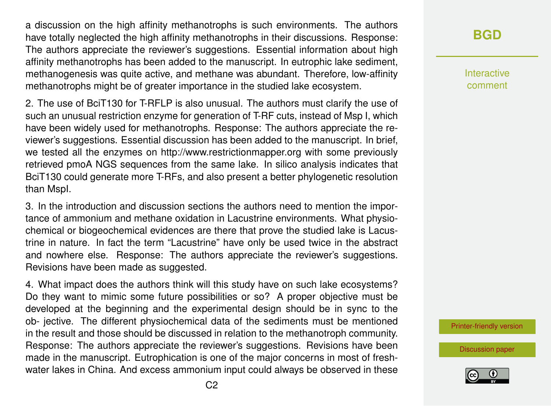a discussion on the high affinity methanotrophs is such environments. The authors have totally neglected the high affinity methanotrophs in their discussions. Response: The authors appreciate the reviewer's suggestions. Essential information about high affinity methanotrophs has been added to the manuscript. In eutrophic lake sediment, methanogenesis was quite active, and methane was abundant. Therefore, low-affinity methanotrophs might be of greater importance in the studied lake ecosystem.

2. The use of BciT130 for T-RFLP is also unusual. The authors must clarify the use of such an unusual restriction enzyme for generation of T-RF cuts, instead of Msp I, which have been widely used for methanotrophs. Response: The authors appreciate the reviewer's suggestions. Essential discussion has been added to the manuscript. In brief, we tested all the enzymes on http://www.restrictionmapper.org with some previously retrieved pmoA NGS sequences from the same lake. In silico analysis indicates that BciT130 could generate more T-RFs, and also present a better phylogenetic resolution than MspI.

3. In the introduction and discussion sections the authors need to mention the importance of ammonium and methane oxidation in Lacustrine environments. What physiochemical or biogeochemical evidences are there that prove the studied lake is Lacustrine in nature. In fact the term "Lacustrine" have only be used twice in the abstract and nowhere else. Response: The authors appreciate the reviewer's suggestions. Revisions have been made as suggested.

4. What impact does the authors think will this study have on such lake ecosystems? Do they want to mimic some future possibilities or so? A proper objective must be developed at the beginning and the experimental design should be in sync to the ob- jective. The different physiochemical data of the sediments must be mentioned in the result and those should be discussed in relation to the methanotroph community. Response: The authors appreciate the reviewer's suggestions. Revisions have been made in the manuscript. Eutrophication is one of the major concerns in most of freshwater lakes in China. And excess ammonium input could always be observed in these **[BGD](https://www.biogeosciences-discuss.net/)**

Interactive comment

[Printer-friendly version](https://www.biogeosciences-discuss.net/bg-2018-193/bg-2018-193-AC1-print.pdf)

[Discussion paper](https://www.biogeosciences-discuss.net/bg-2018-193)